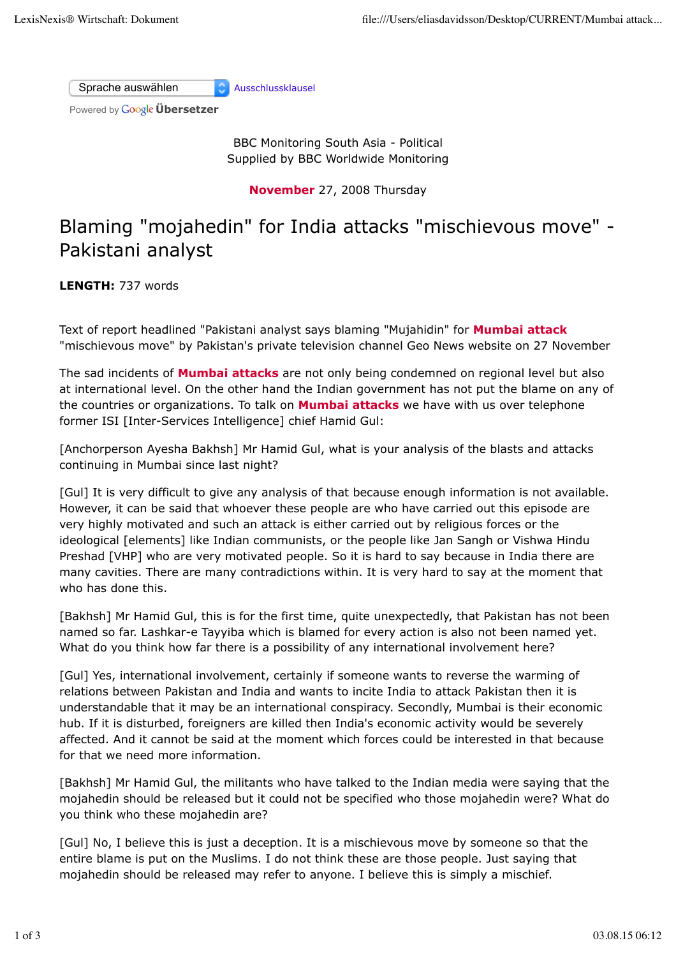Sprache auswählen Ausschlussklausel

Powered by **Google Übersetzer** 

BBC Monitoring South Asia - Political Supplied by BBC Worldwide Monitoring

**November** 27, 2008 Thursday

## Blaming "mojahedin" for India attacks "mischievous move" - Pakistani analyst

**LENGTH:** 737 words

Text of report headlined "Pakistani analyst says blaming "Mujahidin" for **Mumbai attack** "mischievous move" by Pakistan's private television channel Geo News website on 27 November

The sad incidents of **Mumbai attacks** are not only being condemned on regional level but also at international level. On the other hand the Indian government has not put the blame on any of the countries or organizations. To talk on **Mumbai attacks** we have with us over telephone former ISI [Inter-Services Intelligence] chief Hamid Gul:

[Anchorperson Ayesha Bakhsh] Mr Hamid Gul, what is your analysis of the blasts and attacks continuing in Mumbai since last night?

[Gul] It is very difficult to give any analysis of that because enough information is not available. However, it can be said that whoever these people are who have carried out this episode are very highly motivated and such an attack is either carried out by religious forces or the ideological [elements] like Indian communists, or the people like Jan Sangh or Vishwa Hindu Preshad [VHP] who are very motivated people. So it is hard to say because in India there are many cavities. There are many contradictions within. It is very hard to say at the moment that who has done this.

[Bakhsh] Mr Hamid Gul, this is for the first time, quite unexpectedly, that Pakistan has not been named so far. Lashkar-e Tayyiba which is blamed for every action is also not been named yet. What do you think how far there is a possibility of any international involvement here?

[Gul] Yes, international involvement, certainly if someone wants to reverse the warming of relations between Pakistan and India and wants to incite India to attack Pakistan then it is understandable that it may be an international conspiracy. Secondly, Mumbai is their economic hub. If it is disturbed, foreigners are killed then India's economic activity would be severely affected. And it cannot be said at the moment which forces could be interested in that because for that we need more information.

[Bakhsh] Mr Hamid Gul, the militants who have talked to the Indian media were saying that the mojahedin should be released but it could not be specified who those mojahedin were? What do you think who these mojahedin are?

[Gul] No, I believe this is just a deception. It is a mischievous move by someone so that the entire blame is put on the Muslims. I do not think these are those people. Just saying that mojahedin should be released may refer to anyone. I believe this is simply a mischief.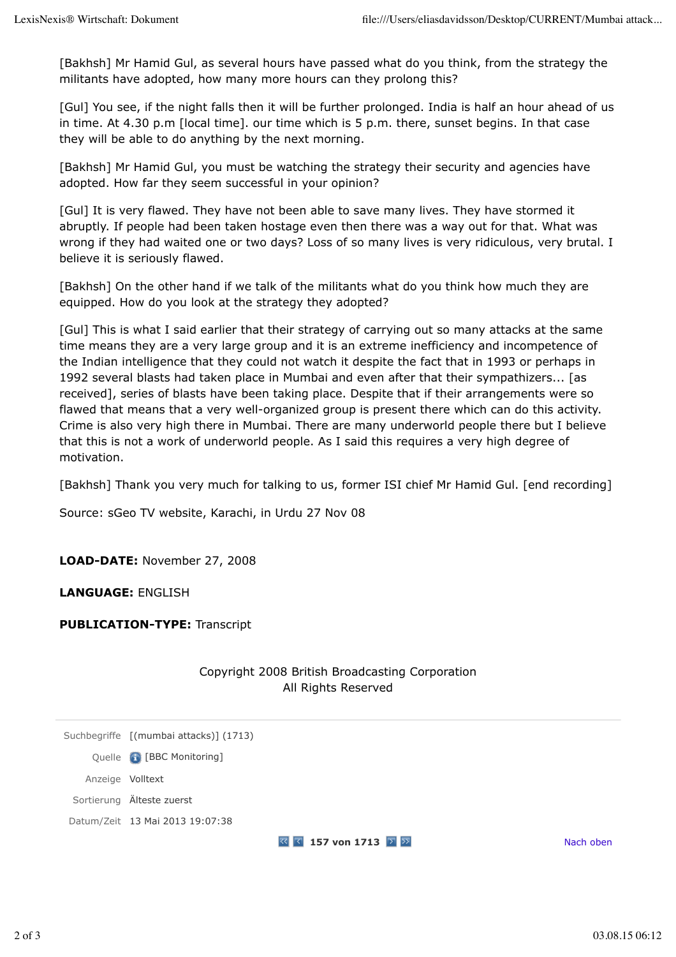[Bakhsh] Mr Hamid Gul, as several hours have passed what do you think, from the strategy the militants have adopted, how many more hours can they prolong this?

[Gul] You see, if the night falls then it will be further prolonged. India is half an hour ahead of us in time. At 4.30 p.m [local time]. our time which is 5 p.m. there, sunset begins. In that case they will be able to do anything by the next morning.

[Bakhsh] Mr Hamid Gul, you must be watching the strategy their security and agencies have adopted. How far they seem successful in your opinion?

[Gul] It is very flawed. They have not been able to save many lives. They have stormed it abruptly. If people had been taken hostage even then there was a way out for that. What was wrong if they had waited one or two days? Loss of so many lives is very ridiculous, very brutal. I believe it is seriously flawed.

[Bakhsh] On the other hand if we talk of the militants what do you think how much they are equipped. How do you look at the strategy they adopted?

[Gul] This is what I said earlier that their strategy of carrying out so many attacks at the same time means they are a very large group and it is an extreme inefficiency and incompetence of the Indian intelligence that they could not watch it despite the fact that in 1993 or perhaps in 1992 several blasts had taken place in Mumbai and even after that their sympathizers... [as received], series of blasts have been taking place. Despite that if their arrangements were so flawed that means that a very well-organized group is present there which can do this activity. Crime is also very high there in Mumbai. There are many underworld people there but I believe that this is not a work of underworld people. As I said this requires a very high degree of motivation.

[Bakhsh] Thank you very much for talking to us, former ISI chief Mr Hamid Gul. [end recording]

Source: sGeo TV website, Karachi, in Urdu 27 Nov 08

**LOAD-DATE:** November 27, 2008

**LANGUAGE:** ENGLISH

**PUBLICATION-TYPE:** Transcript

|                  |                                        | Copyright 2008 British Broadcasting Corporation<br>All Rights Reserved               |           |
|------------------|----------------------------------------|--------------------------------------------------------------------------------------|-----------|
|                  | Suchbegriffe [(mumbai attacks)] (1713) |                                                                                      |           |
|                  | Quelle <b>&amp;</b> [BBC Monitoring]   |                                                                                      |           |
| Anzeige Volltext |                                        |                                                                                      |           |
|                  | Sortierung Älteste zuerst              |                                                                                      |           |
|                  | Datum/Zeit 13 Mai 2013 19:07:38        |                                                                                      |           |
|                  |                                        | $\overline{\mathbb{S}}$ $\overline{\mathbb{S}}$ 157 von 1713 $\overline{\mathbb{S}}$ | Nach oben |